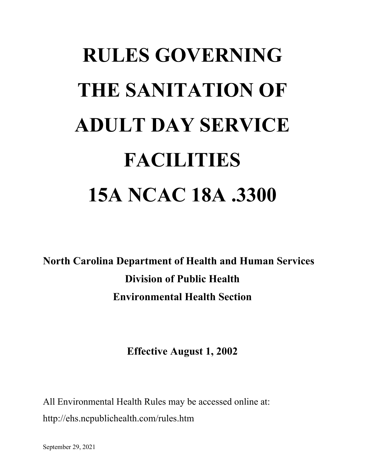# **RULES GOVERNING THE SANITATION OF ADULT DAY SERVICE FACILITIES 15A NCAC 18A .3300**

**North Carolina Department of Health and Human Services Division of Public Health Environmental Health Section**

**Effective August 1, 2002**

All Environmental Health Rules may be accessed online at: http://ehs.ncpublichealth.com/rules.htm

September 29, 2021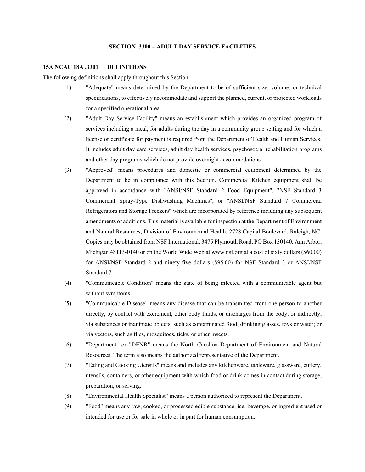# **SECTION .3300 – ADULT DAY SERVICE FACILITIES**

#### **15A NCAC 18A .3301 DEFINITIONS**

The following definitions shall apply throughout this Section:

- (1) "Adequate" means determined by the Department to be of sufficient size, volume, or technical specifications, to effectively accommodate and support the planned, current, or projected workloads for a specified operational area.
- (2) "Adult Day Service Facility" means an establishment which provides an organized program of services including a meal, for adults during the day in a community group setting and for which a license or certificate for payment is required from the Department of Health and Human Services. It includes adult day care services, adult day health services, psychosocial rehabilitation programs and other day programs which do not provide overnight accommodations.
- (3) "Approved" means procedures and domestic or commercial equipment determined by the Department to be in compliance with this Section. Commercial Kitchen equipment shall be approved in accordance with "ANSI/NSF Standard 2 Food Equipment", "NSF Standard 3 Commercial Spray-Type Dishwashing Machines", or "ANSI/NSF Standard 7 Commercial Refrigerators and Storage Freezers" which are incorporated by reference including any subsequent amendments or additions. This material is available for inspection at the Department of Environment and Natural Resources, Division of Environmental Health, 2728 Capital Boulevard, Raleigh, NC. Copies may be obtained from NSF International, 3475 Plymouth Road, PO Box 130140, Ann Arbor, Michigan 48113-0140 or on the World Wide Web at www.nsf.org at a cost of sixty dollars (\$60.00) for ANSI/NSF Standard 2 and ninety-five dollars (\$95.00) for NSF Standard 3 or ANSI/NSF Standard 7.
- (4) "Communicable Condition" means the state of being infected with a communicable agent but without symptoms.
- (5) "Communicable Disease" means any disease that can be transmitted from one person to another directly, by contact with excrement, other body fluids, or discharges from the body; or indirectly, via substances or inanimate objects, such as contaminated food, drinking glasses, toys or water; or via vectors, such as flies, mosquitoes, ticks, or other insects.
- (6) "Department" or "DENR" means the North Carolina Department of Environment and Natural Resources. The term also means the authorized representative of the Department.
- (7) "Eating and Cooking Utensils" means and includes any kitchenware, tableware, glassware, cutlery, utensils, containers, or other equipment with which food or drink comes in contact during storage, preparation, or serving.
- (8) "Environmental Health Specialist" means a person authorized to represent the Department.
- (9) "Food" means any raw, cooked, or processed edible substance, ice, beverage, or ingredient used or intended for use or for sale in whole or in part for human consumption.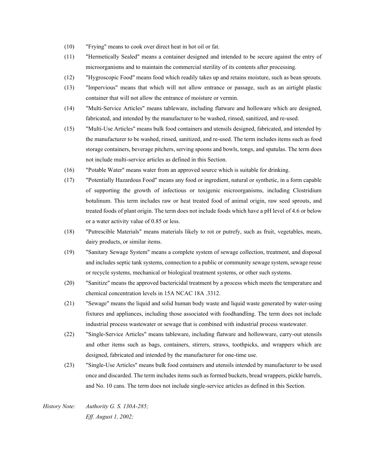- (10) "Frying" means to cook over direct heat in hot oil or fat.
- (11) "Hermetically Sealed" means a container designed and intended to be secure against the entry of microorganisms and to maintain the commercial sterility of its contents after processing.
- (12) "Hygroscopic Food" means food which readily takes up and retains moisture, such as bean sprouts.
- (13) "Impervious" means that which will not allow entrance or passage, such as an airtight plastic container that will not allow the entrance of moisture or vermin.
- (14) "Multi-Service Articles" means tableware, including flatware and holloware which are designed, fabricated, and intended by the manufacturer to be washed, rinsed, sanitized, and re-used.
- (15) "Multi-Use Articles" means bulk food containers and utensils designed, fabricated, and intended by the manufacturer to be washed, rinsed, sanitized, and re-used. The term includes items such as food storage containers, beverage pitchers, serving spoons and bowls, tongs, and spatulas. The term does not include multi-service articles as defined in this Section.
- (16) "Potable Water" means water from an approved source which is suitable for drinking.
- (17) "Potentially Hazardous Food" means any food or ingredient, natural or synthetic, in a form capable of supporting the growth of infectious or toxigenic microorganisms, including Clostridium botulinum. This term includes raw or heat treated food of animal origin, raw seed sprouts, and treated foods of plant origin. The term does not include foods which have a pH level of 4.6 or below or a water activity value of 0.85 or less.
- (18) "Putrescible Materials" means materials likely to rot or putrefy, such as fruit, vegetables, meats, dairy products, or similar items.
- (19) "Sanitary Sewage System" means a complete system of sewage collection, treatment, and disposal and includes septic tank systems, connection to a public or community sewage system, sewage reuse or recycle systems, mechanical or biological treatment systems, or other such systems.
- (20) "Sanitize" means the approved bactericidal treatment by a process which meets the temperature and chemical concentration levels in 15A NCAC 18A .3312.
- (21) "Sewage" means the liquid and solid human body waste and liquid waste generated by water-using fixtures and appliances, including those associated with foodhandling. The term does not include industrial process wastewater or sewage that is combined with industrial process wastewater.
- (22) "Single-Service Articles" means tableware, including flatware and hollowware, carry-out utensils and other items such as bags, containers, stirrers, straws, toothpicks, and wrappers which are designed, fabricated and intended by the manufacturer for one-time use.
- (23) "Single-Use Articles" means bulk food containers and utensils intended by manufacturer to be used once and discarded. The term includes items such as formed buckets, bread wrappers, pickle barrels, and No. 10 cans. The term does not include single-service articles as defined in this Section.

*History Note: Authority G. S. 130A-285; Eff. August 1, 2002;*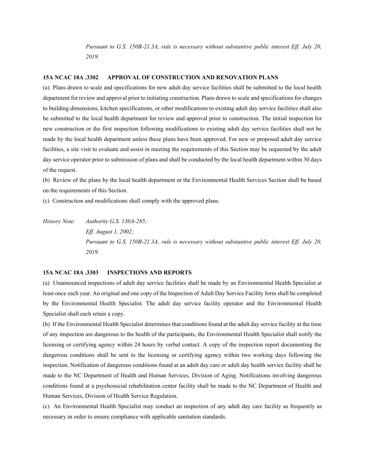*Pursuant to G.S. 150B-21.3A, rule is necessary without substantive public interest Eff. July 20, 2019.*

### **15A NCAC 18A .3302 APPROVAL OF CONSTRUCTION AND RENOVATION PLANS**

(a) Plans drawn to scale and specifications for new adult day service facilities shall be submitted to the local health department for review and approval prior to initiating construction. Plans drawn to scale and specifications for changes to building dimensions, kitchen specifications, or other modifications to existing adult day service facilities shall also be submitted to the local health department for review and approval prior to construction. The initial inspection for new construction or the first inspection following modifications to existing adult day service facilities shall not be made by the local health department unless these plans have been approved. For new or proposed adult day service facilities, a site visit to evaluate and assist in meeting the requirements of this Section may be requested by the adult day service operator prior to submission of plans and shall be conducted by the local health department within 30 days of the request.

(b) Review of the plans by the local health department or the Environmental Health Services Section shall be based on the requirements of this Section.

(c) Construction and modifications shall comply with the approved plans.

*History Note: Authority G.S. 130A-285; Eff. August 1, 2002; Pursuant to G.S. 150B-21.3A, rule is necessary without substantive public interest Eff. July 20, 2019.*

# **15A NCAC 18A .3303 INSPECTIONS AND REPORTS**

(a) Unannounced inspections of adult day service facilities shall be made by an Environmental Health Specialist at least once each year. An original and one copy of the Inspection of Adult Day Service Facility form shall be completed by the Environmental Health Specialist. The adult day service facility operator and the Environmental Health Specialist shall each retain a copy.

(b) If the Environmental Health Specialist determines that conditions found at the adult day service facility at the time of any inspection are dangerous to the health of the participants, the Environmental Health Specialist shall notify the licensing or certifying agency within 24 hours by verbal contact. A copy of the inspection report documenting the dangerous conditions shall be sent to the licensing or certifying agency within two working days following the inspection. Notification of dangerous conditions found at an adult day care or adult day health service facility shall be made to the NC Department of Health and Human Services, Division of Aging. Notifications involving dangerous conditions found at a psychosocial rehabilitation center facility shall be made to the NC Department of Health and Human Services, Division of Health Service Regulation.

(c) An Environmental Health Specialist may conduct an inspection of any adult day care facility as frequently as necessary in order to ensure compliance with applicable sanitation standards.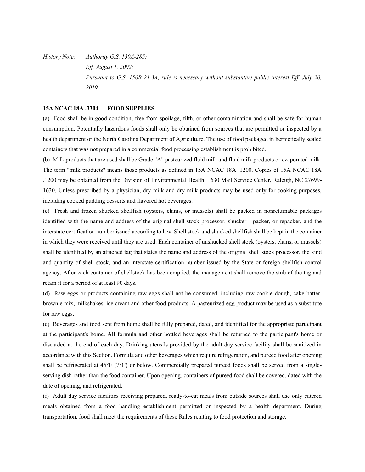*History Note: Authority G.S. 130A-285; Eff. August 1, 2002; Pursuant to G.S. 150B-21.3A, rule is necessary without substantive public interest Eff. July 20, 2019.*

## **15A NCAC 18A .3304 FOOD SUPPLIES**

(a) Food shall be in good condition, free from spoilage, filth, or other contamination and shall be safe for human consumption. Potentially hazardous foods shall only be obtained from sources that are permitted or inspected by a health department or the North Carolina Department of Agriculture. The use of food packaged in hermetically sealed containers that was not prepared in a commercial food processing establishment is prohibited.

(b) Milk products that are used shall be Grade "A" pasteurized fluid milk and fluid milk products or evaporated milk. The term "milk products" means those products as defined in 15A NCAC 18A .1200. Copies of 15A NCAC 18A .1200 may be obtained from the Division of Environmental Health, 1630 Mail Service Center, Raleigh, NC 27699- 1630. Unless prescribed by a physician, dry milk and dry milk products may be used only for cooking purposes, including cooked pudding desserts and flavored hot beverages.

(c) Fresh and frozen shucked shellfish (oysters, clams, or mussels) shall be packed in nonreturnable packages identified with the name and address of the original shell stock processor, shucker - packer, or repacker, and the interstate certification number issued according to law. Shell stock and shucked shellfish shall be kept in the container in which they were received until they are used. Each container of unshucked shell stock (oysters, clams, or mussels) shall be identified by an attached tag that states the name and address of the original shell stock processor, the kind and quantity of shell stock, and an interstate certification number issued by the State or foreign shellfish control agency. After each container of shellstock has been emptied, the management shall remove the stub of the tag and retain it for a period of at least 90 days.

(d) Raw eggs or products containing raw eggs shall not be consumed, including raw cookie dough, cake batter, brownie mix, milkshakes, ice cream and other food products. A pasteurized egg product may be used as a substitute for raw eggs.

(e) Beverages and food sent from home shall be fully prepared, dated, and identified for the appropriate participant at the participant's home. All formula and other bottled beverages shall be returned to the participant's home or discarded at the end of each day. Drinking utensils provided by the adult day service facility shall be sanitized in accordance with this Section. Formula and other beverages which require refrigeration, and pureed food after opening shall be refrigerated at 45°F ( $7^{\circ}$ C) or below. Commercially prepared pureed foods shall be served from a singleserving dish rather than the food container. Upon opening, containers of pureed food shall be covered, dated with the date of opening, and refrigerated.

(f) Adult day service facilities receiving prepared, ready-to-eat meals from outside sources shall use only catered meals obtained from a food handling establishment permitted or inspected by a health department. During transportation, food shall meet the requirements of these Rules relating to food protection and storage.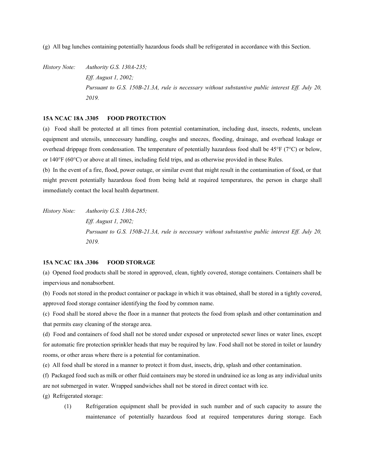(g) All bag lunches containing potentially hazardous foods shall be refrigerated in accordance with this Section.

*History Note: Authority G.S. 130A-235; Eff. August 1, 2002; Pursuant to G.S. 150B-21.3A, rule is necessary without substantive public interest Eff. July 20, 2019.*

## **15A NCAC 18A .3305 FOOD PROTECTION**

(a) Food shall be protected at all times from potential contamination, including dust, insects, rodents, unclean equipment and utensils, unnecessary handling, coughs and sneezes, flooding, drainage, and overhead leakage or overhead drippage from condensation. The temperature of potentially hazardous food shall be 45°F (7°C) or below, or 140°F (60°C) or above at all times, including field trips, and as otherwise provided in these Rules.

(b) In the event of a fire, flood, power outage, or similar event that might result in the contamination of food, or that might prevent potentially hazardous food from being held at required temperatures, the person in charge shall immediately contact the local health department.

*History Note: Authority G.S. 130A-285; Eff. August 1, 2002; Pursuant to G.S. 150B-21.3A, rule is necessary without substantive public interest Eff. July 20, 2019.*

# **15A NCAC 18A .3306 FOOD STORAGE**

(a) Opened food products shall be stored in approved, clean, tightly covered, storage containers. Containers shall be impervious and nonabsorbent.

(b) Foods not stored in the product container or package in which it was obtained, shall be stored in a tightly covered, approved food storage container identifying the food by common name.

(c) Food shall be stored above the floor in a manner that protects the food from splash and other contamination and that permits easy cleaning of the storage area.

(d) Food and containers of food shall not be stored under exposed or unprotected sewer lines or water lines, except for automatic fire protection sprinkler heads that may be required by law. Food shall not be stored in toilet or laundry rooms, or other areas where there is a potential for contamination.

(e) All food shall be stored in a manner to protect it from dust, insects, drip, splash and other contamination.

(f) Packaged food such as milk or other fluid containers may be stored in undrained ice as long as any individual units are not submerged in water. Wrapped sandwiches shall not be stored in direct contact with ice.

- (g) Refrigerated storage:
	- (1) Refrigeration equipment shall be provided in such number and of such capacity to assure the maintenance of potentially hazardous food at required temperatures during storage. Each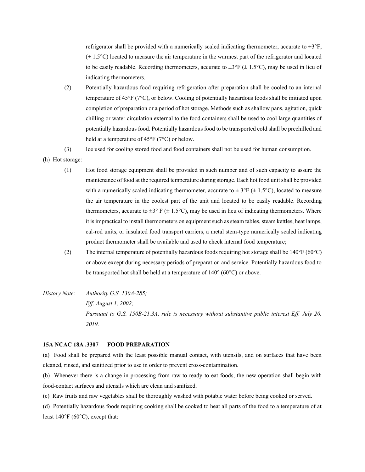refrigerator shall be provided with a numerically scaled indicating thermometer, accurate to  $\pm 3^{\circ}F$ ,  $(\pm 1.5^{\circ}C)$  located to measure the air temperature in the warmest part of the refrigerator and located to be easily readable. Recording thermometers, accurate to  $\pm 3^{\circ}F$  ( $\pm 1.5^{\circ}C$ ), may be used in lieu of indicating thermometers.

- (2) Potentially hazardous food requiring refrigeration after preparation shall be cooled to an internal temperature of 45°F (7°C), or below. Cooling of potentially hazardous foods shall be initiated upon completion of preparation or a period of hot storage. Methods such as shallow pans, agitation, quick chilling or water circulation external to the food containers shall be used to cool large quantities of potentially hazardous food. Potentially hazardous food to be transported cold shall be prechilled and held at a temperature of 45°F (7°C) or below.
- (3) Ice used for cooling stored food and food containers shall not be used for human consumption.
- (h) Hot storage:
	- (1) Hot food storage equipment shall be provided in such number and of such capacity to assure the maintenance of food at the required temperature during storage. Each hot food unit shall be provided with a numerically scaled indicating thermometer, accurate to  $\pm 3^{\circ}F (\pm 1.5^{\circ}C)$ , located to measure the air temperature in the coolest part of the unit and located to be easily readable. Recording thermometers, accurate to  $\pm 3^{\circ}$  F ( $\pm$  1.5°C), may be used in lieu of indicating thermometers. Where it is impractical to install thermometers on equipment such as steam tables, steam kettles, heat lamps, cal-rod units, or insulated food transport carriers, a metal stem-type numerically scaled indicating product thermometer shall be available and used to check internal food temperature;
	- (2) The internal temperature of potentially hazardous foods requiring hot storage shall be 140°F (60°C) or above except during necessary periods of preparation and service. Potentially hazardous food to be transported hot shall be held at a temperature of  $140^{\circ}$  (60 $^{\circ}$ C) or above.
- *History Note: Authority G.S. 130A-285; Eff. August 1, 2002; Pursuant to G.S. 150B-21.3A, rule is necessary without substantive public interest Eff. July 20, 2019.*

#### **15A NCAC 18A .3307 FOOD PREPARATION**

(a) Food shall be prepared with the least possible manual contact, with utensils, and on surfaces that have been cleaned, rinsed, and sanitized prior to use in order to prevent cross-contamination.

(b) Whenever there is a change in processing from raw to ready-to-eat foods, the new operation shall begin with food-contact surfaces and utensils which are clean and sanitized.

(c) Raw fruits and raw vegetables shall be thoroughly washed with potable water before being cooked or served.

(d) Potentially hazardous foods requiring cooking shall be cooked to heat all parts of the food to a temperature of at least 140°F (60°C), except that: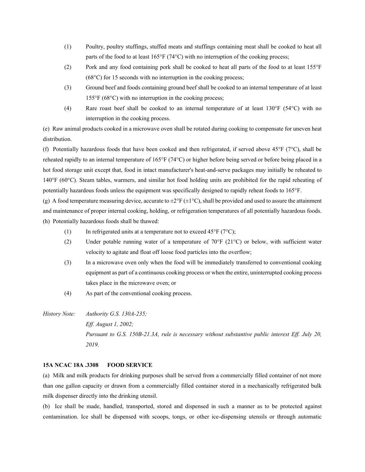- (1) Poultry, poultry stuffings, stuffed meats and stuffings containing meat shall be cooked to heat all parts of the food to at least 165°F (74°C) with no interruption of the cooking process;
- (2) Pork and any food containing pork shall be cooked to heat all parts of the food to at least 155°F (68°C) for 15 seconds with no interruption in the cooking process;
- (3) Ground beef and foods containing ground beef shall be cooked to an internal temperature of at least 155°F (68°C) with no interruption in the cooking process;
- (4) Rare roast beef shall be cooked to an internal temperature of at least  $130^{\circ}F$  (54 $^{\circ}C$ ) with no interruption in the cooking process.

(e) Raw animal products cooked in a microwave oven shall be rotated during cooking to compensate for uneven heat distribution.

(f) Potentially hazardous foods that have been cooked and then refrigerated, if served above 45°F (7°C), shall be reheated rapidly to an internal temperature of 165°F (74°C) or higher before being served or before being placed in a hot food storage unit except that, food in intact manufacturer's heat-and-serve packages may initially be reheated to 140°F (60°C). Steam tables, warmers, and similar hot food holding units are prohibited for the rapid reheating of potentially hazardous foods unless the equipment was specifically designed to rapidly reheat foods to 165°F.

(g) A food temperature measuring device, accurate to  $\pm 2^{\circ}F (\pm 1^{\circ}C)$ , shall be provided and used to assure the attainment and maintenance of proper internal cooking, holding, or refrigeration temperatures of all potentially hazardous foods. (h) Potentially hazardous foods shall be thawed:

- (1) In refrigerated units at a temperature not to exceed  $45^{\circ}F (7^{\circ}C)$ ;
- (2) Under potable running water of a temperature of 70°F (21°C) or below, with sufficient water velocity to agitate and float off loose food particles into the overflow;
- (3) In a microwave oven only when the food will be immediately transferred to conventional cooking equipment as part of a continuous cooking process or when the entire, uninterrupted cooking process takes place in the microwave oven; or
- (4) As part of the conventional cooking process.
- *History Note: Authority G.S. 130A-235; Eff. August 1, 2002; Pursuant to G.S. 150B-21.3A, rule is necessary without substantive public interest Eff. July 20, 2019.*

#### **15A NCAC 18A .3308 FOOD SERVICE**

(a) Milk and milk products for drinking purposes shall be served from a commercially filled container of not more than one gallon capacity or drawn from a commercially filled container stored in a mechanically refrigerated bulk milk dispenser directly into the drinking utensil.

(b) Ice shall be made, handled, transported, stored and dispensed in such a manner as to be protected against contamination. Ice shall be dispensed with scoops, tongs, or other ice-dispensing utensils or through automatic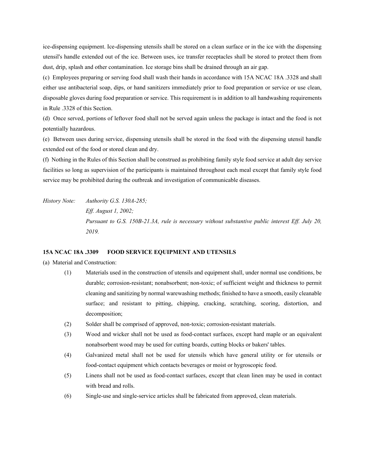ice-dispensing equipment. Ice-dispensing utensils shall be stored on a clean surface or in the ice with the dispensing utensil's handle extended out of the ice. Between uses, ice transfer receptacles shall be stored to protect them from dust, drip, splash and other contamination. Ice storage bins shall be drained through an air gap.

(c) Employees preparing or serving food shall wash their hands in accordance with 15A NCAC 18A .3328 and shall either use antibacterial soap, dips, or hand sanitizers immediately prior to food preparation or service or use clean, disposable gloves during food preparation or service. This requirement is in addition to all handwashing requirements in Rule .3328 of this Section.

(d) Once served, portions of leftover food shall not be served again unless the package is intact and the food is not potentially hazardous.

(e) Between uses during service, dispensing utensils shall be stored in the food with the dispensing utensil handle extended out of the food or stored clean and dry.

(f) Nothing in the Rules of this Section shall be construed as prohibiting family style food service at adult day service facilities so long as supervision of the participants is maintained throughout each meal except that family style food service may be prohibited during the outbreak and investigation of communicable diseases.

*History Note: Authority G.S. 130A-285; Eff. August 1, 2002; Pursuant to G.S. 150B-21.3A, rule is necessary without substantive public interest Eff. July 20, 2019.*

## **15A NCAC 18A .3309 FOOD SERVICE EQUIPMENT AND UTENSILS**

(a) Material and Construction:

- (1) Materials used in the construction of utensils and equipment shall, under normal use conditions, be durable; corrosion-resistant; nonabsorbent; non-toxic; of sufficient weight and thickness to permit cleaning and sanitizing by normal warewashing methods; finished to have a smooth, easily cleanable surface; and resistant to pitting, chipping, cracking, scratching, scoring, distortion, and decomposition;
- (2) Solder shall be comprised of approved, non-toxic; corrosion-resistant materials.
- (3) Wood and wicker shall not be used as food-contact surfaces, except hard maple or an equivalent nonabsorbent wood may be used for cutting boards, cutting blocks or bakers' tables.
- (4) Galvanized metal shall not be used for utensils which have general utility or for utensils or food-contact equipment which contacts beverages or moist or hygroscopic food.
- (5) Linens shall not be used as food-contact surfaces, except that clean linen may be used in contact with bread and rolls.
- (6) Single-use and single-service articles shall be fabricated from approved, clean materials.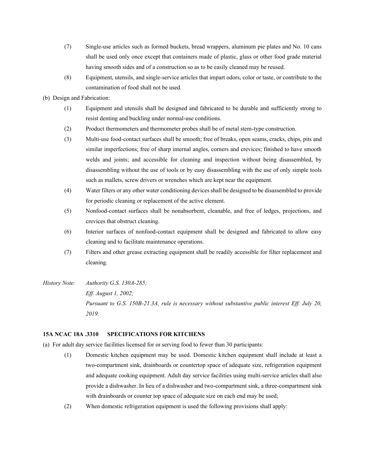- (7) Single-use articles such as formed buckets, bread wrappers, aluminum pie plates and No. 10 cans shall be used only once except that containers made of plastic, glass or other food grade material having smooth sides and of a construction so as to be easily cleaned may be reused.
- (8) Equipment, utensils, and single-service articles that impart odors, color or taste, or contribute to the contamination of food shall not be used.
- (b) Design and Fabrication:
	- (1) Equipment and utensils shall be designed and fabricated to be durable and sufficiently strong to resist denting and buckling under normal-use conditions.
	- (2) Product thermometers and thermometer probes shall be of metal stem-type construction.
	- (3) Multi-use food-contact surfaces shall be smooth; free of breaks, open seams, cracks, chips, pits and similar imperfections; free of sharp internal angles, corners and crevices; finished to have smooth welds and joints; and accessible for cleaning and inspection without being disassembled, by disassembling without the use of tools or by easy disassembling with the use of only simple tools such as mallets, screw drivers or wrenches which are kept near the equipment.
	- (4) Water filters or any other water conditioning devices shall be designed to be disassembled to provide for periodic cleaning or replacement of the active element.
	- (5) Nonfood-contact surfaces shall be nonabsorbent, cleanable, and free of ledges, projections, and crevices that obstruct cleaning.
	- (6) Interior surfaces of nonfood-contact equipment shall be designed and fabricated to allow easy cleaning and to facilitate maintenance operations.
	- (7) Filters and other grease extracting equipment shall be readily accessible for filter replacement and cleaning.
- *History Note: Authority G.S. 130A-285; Eff. August 1, 2002; Pursuant to G.S. 150B-21.3A, rule is necessary without substantive public interest Eff. July 20, 2019.*

# **15A NCAC 18A .3310 SPECIFICATIONS FOR KITCHENS**

- (a) For adult day service facilities licensed for or serving food to fewer than 30 participants:
	- (1) Domestic kitchen equipment may be used. Domestic kitchen equipment shall include at least a two-compartment sink, drainboards or countertop space of adequate size, refrigeration equipment and adequate cooking equipment. Adult day service facilities using multi-service articles shall also provide a dishwasher. In lieu of a dishwasher and two-compartment sink, a three-compartment sink with drainboards or counter top space of adequate size on each end may be used;
	- (2) When domestic refrigeration equipment is used the following provisions shall apply: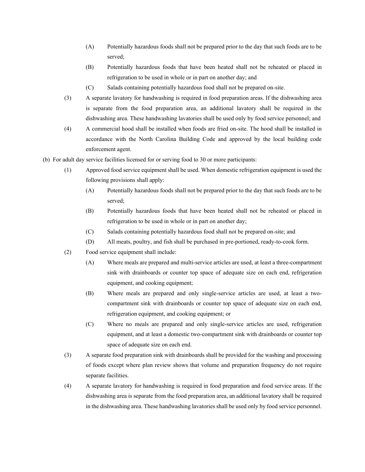- (A) Potentially hazardous foods shall not be prepared prior to the day that such foods are to be served;
- (B) Potentially hazardous foods that have been heated shall not be reheated or placed in refrigeration to be used in whole or in part on another day; and
- (C) Salads containing potentially hazardous food shall not be prepared on-site.
- (3) A separate lavatory for handwashing is required in food preparation areas. If the dishwashing area is separate from the food preparation area, an additional lavatory shall be required in the dishwashing area. These handwashing lavatories shall be used only by food service personnel; and
- (4) A commercial hood shall be installed when foods are fried on-site. The hood shall be installed in accordance with the North Carolina Building Code and approved by the local building code enforcement agent.
- (b) For adult day service facilities licensed for or serving food to 30 or more participants:
	- (1) Approved food service equipment shall be used. When domestic refrigeration equipment is used the following provisions shall apply:
		- (A) Potentially hazardous foods shall not be prepared prior to the day that such foods are to be served;
		- (B) Potentially hazardous foods that have been heated shall not be reheated or placed in refrigeration to be used in whole or in part on another day;
		- (C) Salads containing potentially hazardous food shall not be prepared on-site; and
		- (D) All meats, poultry, and fish shall be purchased in pre-portioned, ready-to-cook form.
	- (2) Food service equipment shall include:
		- (A) Where meals are prepared and multi-service articles are used, at least a three-compartment sink with drainboards or counter top space of adequate size on each end, refrigeration equipment, and cooking equipment;
		- (B) Where meals are prepared and only single-service articles are used, at least a twocompartment sink with drainboards or counter top space of adequate size on each end, refrigeration equipment, and cooking equipment; or
		- (C) Where no meals are prepared and only single-service articles are used, refrigeration equipment, and at least a domestic two-compartment sink with drainboards or counter top space of adequate size on each end.
	- (3) A separate food preparation sink with drainboards shall be provided for the washing and processing of foods except where plan review shows that volume and preparation frequency do not require separate facilities.
	- (4) A separate lavatory for handwashing is required in food preparation and food service areas. If the dishwashing area is separate from the food preparation area, an additional lavatory shall be required in the dishwashing area. These handwashing lavatories shall be used only by food service personnel.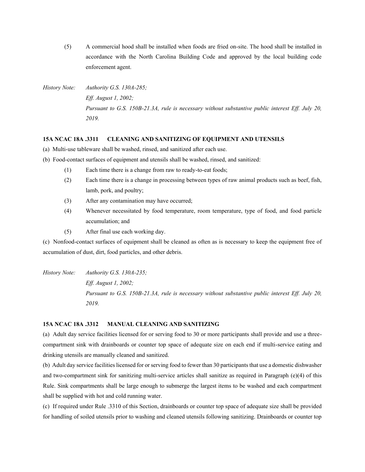(5) A commercial hood shall be installed when foods are fried on-site. The hood shall be installed in accordance with the North Carolina Building Code and approved by the local building code enforcement agent.

*History Note: Authority G.S. 130A-285; Eff. August 1, 2002; Pursuant to G.S. 150B-21.3A, rule is necessary without substantive public interest Eff. July 20, 2019.*

## **15A NCAC 18A .3311 CLEANING AND SANITIZING OF EQUIPMENT AND UTENSILS**

- (a) Multi-use tableware shall be washed, rinsed, and sanitized after each use.
- (b) Food-contact surfaces of equipment and utensils shall be washed, rinsed, and sanitized:
	- (1) Each time there is a change from raw to ready-to-eat foods;
	- (2) Each time there is a change in processing between types of raw animal products such as beef, fish, lamb, pork, and poultry;
	- (3) After any contamination may have occurred;
	- (4) Whenever necessitated by food temperature, room temperature, type of food, and food particle accumulation; and
	- (5) After final use each working day.

(c) Nonfood-contact surfaces of equipment shall be cleaned as often as is necessary to keep the equipment free of accumulation of dust, dirt, food particles, and other debris.

*History Note: Authority G.S. 130A-235; Eff. August 1, 2002; Pursuant to G.S. 150B-21.3A, rule is necessary without substantive public interest Eff. July 20, 2019.*

## **15A NCAC 18A .3312 MANUAL CLEANING AND SANITIZING**

(a) Adult day service facilities licensed for or serving food to 30 or more participants shall provide and use a threecompartment sink with drainboards or counter top space of adequate size on each end if multi-service eating and drinking utensils are manually cleaned and sanitized.

(b) Adult day service facilities licensed for or serving food to fewer than 30 participants that use a domestic dishwasher and two-compartment sink for sanitizing multi-service articles shall sanitize as required in Paragraph (e)(4) of this Rule. Sink compartments shall be large enough to submerge the largest items to be washed and each compartment shall be supplied with hot and cold running water.

(c) If required under Rule .3310 of this Section, drainboards or counter top space of adequate size shall be provided for handling of soiled utensils prior to washing and cleaned utensils following sanitizing. Drainboards or counter top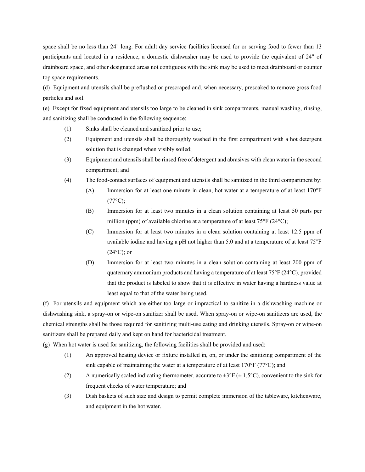space shall be no less than 24" long. For adult day service facilities licensed for or serving food to fewer than 13 participants and located in a residence, a domestic dishwasher may be used to provide the equivalent of 24" of drainboard space, and other designated areas not contiguous with the sink may be used to meet drainboard or counter top space requirements.

(d) Equipment and utensils shall be preflushed or prescraped and, when necessary, presoaked to remove gross food particles and soil.

(e) Except for fixed equipment and utensils too large to be cleaned in sink compartments, manual washing, rinsing, and sanitizing shall be conducted in the following sequence:

- (1) Sinks shall be cleaned and sanitized prior to use;
- (2) Equipment and utensils shall be thoroughly washed in the first compartment with a hot detergent solution that is changed when visibly soiled;
- (3) Equipment and utensils shall be rinsed free of detergent and abrasives with clean water in the second compartment; and
- (4) The food-contact surfaces of equipment and utensils shall be sanitized in the third compartment by:
	- (A) Immersion for at least one minute in clean, hot water at a temperature of at least 170°F  $(77^{\circ}C)$ ;
	- (B) Immersion for at least two minutes in a clean solution containing at least 50 parts per million (ppm) of available chlorine at a temperature of at least 75°F (24°C);
	- (C) Immersion for at least two minutes in a clean solution containing at least 12.5 ppm of available iodine and having a pH not higher than 5.0 and at a temperature of at least 75°F  $(24\textdegree C)$ ; or
	- (D) Immersion for at least two minutes in a clean solution containing at least 200 ppm of quaternary ammonium products and having a temperature of at least 75°F (24°C), provided that the product is labeled to show that it is effective in water having a hardness value at least equal to that of the water being used.

(f) For utensils and equipment which are either too large or impractical to sanitize in a dishwashing machine or dishwashing sink, a spray-on or wipe-on sanitizer shall be used. When spray-on or wipe-on sanitizers are used, the chemical strengths shall be those required for sanitizing multi-use eating and drinking utensils. Spray-on or wipe-on sanitizers shall be prepared daily and kept on hand for bactericidal treatment.

(g) When hot water is used for sanitizing, the following facilities shall be provided and used:

- (1) An approved heating device or fixture installed in, on, or under the sanitizing compartment of the sink capable of maintaining the water at a temperature of at least 170 $\degree$ F (77 $\degree$ C); and
- (2) A numerically scaled indicating thermometer, accurate to  $\pm 3^{\circ}F (\pm 1.5^{\circ}C)$ , convenient to the sink for frequent checks of water temperature; and
- (3) Dish baskets of such size and design to permit complete immersion of the tableware, kitchenware, and equipment in the hot water.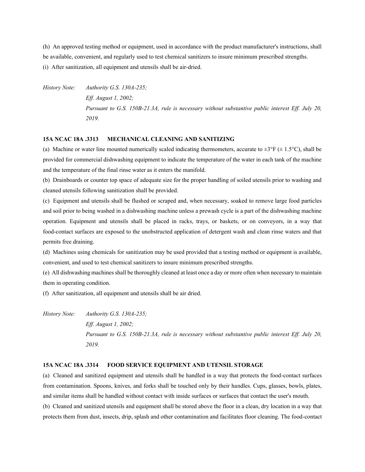(h) An approved testing method or equipment, used in accordance with the product manufacturer's instructions, shall be available, convenient, and regularly used to test chemical sanitizers to insure minimum prescribed strengths. (i) After sanitization, all equipment and utensils shall be air-dried.

*History Note: Authority G.S. 130A-235; Eff. August 1, 2002; Pursuant to G.S. 150B-21.3A, rule is necessary without substantive public interest Eff. July 20, 2019.*

## **15A NCAC 18A .3313 MECHANICAL CLEANING AND SANITIZING**

(a) Machine or water line mounted numerically scaled indicating thermometers, accurate to  $\pm 3^{\circ}F (\pm 1.5^{\circ}C)$ , shall be provided for commercial dishwashing equipment to indicate the temperature of the water in each tank of the machine and the temperature of the final rinse water as it enters the manifold.

(b) Drainboards or counter top space of adequate size for the proper handling of soiled utensils prior to washing and cleaned utensils following sanitization shall be provided.

(c) Equipment and utensils shall be flushed or scraped and, when necessary, soaked to remove large food particles and soil prior to being washed in a dishwashing machine unless a prewash cycle is a part of the dishwashing machine operation. Equipment and utensils shall be placed in racks, trays, or baskets, or on conveyors, in a way that food-contact surfaces are exposed to the unobstructed application of detergent wash and clean rinse waters and that permits free draining.

(d) Machines using chemicals for sanitization may be used provided that a testing method or equipment is available, convenient, and used to test chemical sanitizers to insure minimum prescribed strengths.

(e) All dishwashing machines shall be thoroughly cleaned at least once a day or more often when necessary to maintain them in operating condition.

(f) After sanitization, all equipment and utensils shall be air dried.

*History Note: Authority G.S. 130A-235; Eff. August 1, 2002; Pursuant to G.S. 150B-21.3A, rule is necessary without substantive public interest Eff. July 20, 2019.*

#### **15A NCAC 18A .3314 FOOD SERVICE EQUIPMENT AND UTENSIL STORAGE**

(a) Cleaned and sanitized equipment and utensils shall be handled in a way that protects the food-contact surfaces from contamination. Spoons, knives, and forks shall be touched only by their handles. Cups, glasses, bowls, plates, and similar items shall be handled without contact with inside surfaces or surfaces that contact the user's mouth.

(b) Cleaned and sanitized utensils and equipment shall be stored above the floor in a clean, dry location in a way that protects them from dust, insects, drip, splash and other contamination and facilitates floor cleaning. The food-contact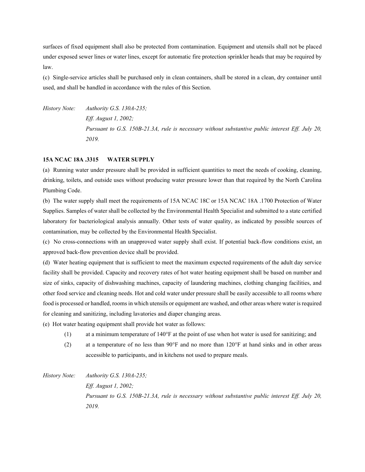surfaces of fixed equipment shall also be protected from contamination. Equipment and utensils shall not be placed under exposed sewer lines or water lines, except for automatic fire protection sprinkler heads that may be required by law.

(c) Single-service articles shall be purchased only in clean containers, shall be stored in a clean, dry container until used, and shall be handled in accordance with the rules of this Section.

*History Note: Authority G.S. 130A-235; Eff. August 1, 2002; Pursuant to G.S. 150B-21.3A, rule is necessary without substantive public interest Eff. July 20, 2019.*

#### **15A NCAC 18A .3315 WATER SUPPLY**

(a) Running water under pressure shall be provided in sufficient quantities to meet the needs of cooking, cleaning, drinking, toilets, and outside uses without producing water pressure lower than that required by the North Carolina Plumbing Code.

(b) The water supply shall meet the requirements of 15A NCAC 18C or 15A NCAC 18A .1700 Protection of Water Supplies. Samples of water shall be collected by the Environmental Health Specialist and submitted to a state certified laboratory for bacteriological analysis annually. Other tests of water quality, as indicated by possible sources of contamination, may be collected by the Environmental Health Specialist.

(c) No cross-connections with an unapproved water supply shall exist. If potential back-flow conditions exist, an approved back-flow prevention device shall be provided.

(d) Water heating equipment that is sufficient to meet the maximum expected requirements of the adult day service facility shall be provided. Capacity and recovery rates of hot water heating equipment shall be based on number and size of sinks, capacity of dishwashing machines, capacity of laundering machines, clothing changing facilities, and other food service and cleaning needs. Hot and cold water under pressure shall be easily accessible to all rooms where food is processed or handled, rooms in which utensils or equipment are washed, and other areas where water is required for cleaning and sanitizing, including lavatories and diaper changing areas.

(e) Hot water heating equipment shall provide hot water as follows:

- (1) at a minimum temperature of 140°F at the point of use when hot water is used for sanitizing; and
- (2) at a temperature of no less than 90°F and no more than 120°F at hand sinks and in other areas accessible to participants, and in kitchens not used to prepare meals.

*History Note: Authority G.S. 130A-235; Eff. August 1, 2002; Pursuant to G.S. 150B-21.3A, rule is necessary without substantive public interest Eff. July 20, 2019.*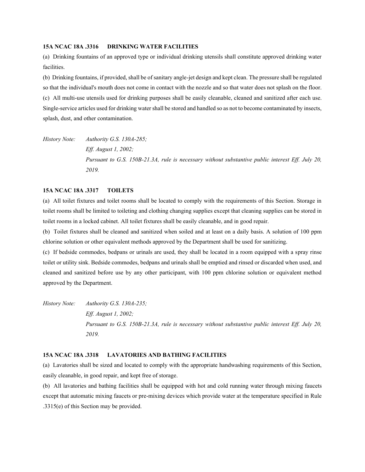## **15A NCAC 18A .3316 DRINKING WATER FACILITIES**

(a) Drinking fountains of an approved type or individual drinking utensils shall constitute approved drinking water facilities.

(b) Drinking fountains, if provided, shall be of sanitary angle-jet design and kept clean. The pressure shall be regulated so that the individual's mouth does not come in contact with the nozzle and so that water does not splash on the floor. (c) All multi-use utensils used for drinking purposes shall be easily cleanable, cleaned and sanitized after each use. Single-service articles used for drinking water shall be stored and handled so as not to become contaminated by insects, splash, dust, and other contamination.

*History Note: Authority G.S. 130A-285; Eff. August 1, 2002; Pursuant to G.S. 150B-21.3A, rule is necessary without substantive public interest Eff. July 20, 2019.*

# **15A NCAC 18A .3317 TOILETS**

(a) All toilet fixtures and toilet rooms shall be located to comply with the requirements of this Section. Storage in toilet rooms shall be limited to toileting and clothing changing supplies except that cleaning supplies can be stored in toilet rooms in a locked cabinet. All toilet fixtures shall be easily cleanable, and in good repair.

(b) Toilet fixtures shall be cleaned and sanitized when soiled and at least on a daily basis. A solution of 100 ppm chlorine solution or other equivalent methods approved by the Department shall be used for sanitizing.

(c) If bedside commodes, bedpans or urinals are used, they shall be located in a room equipped with a spray rinse toilet or utility sink. Bedside commodes, bedpans and urinals shall be emptied and rinsed or discarded when used, and cleaned and sanitized before use by any other participant, with 100 ppm chlorine solution or equivalent method approved by the Department.

*History Note: Authority G.S. 130A-235; Eff. August 1, 2002; Pursuant to G.S. 150B-21.3A, rule is necessary without substantive public interest Eff. July 20, 2019.*

# **15A NCAC 18A .3318 LAVATORIES AND BATHING FACILITIES**

(a) Lavatories shall be sized and located to comply with the appropriate handwashing requirements of this Section, easily cleanable, in good repair, and kept free of storage.

(b) All lavatories and bathing facilities shall be equipped with hot and cold running water through mixing faucets except that automatic mixing faucets or pre-mixing devices which provide water at the temperature specified in Rule .3315(e) of this Section may be provided.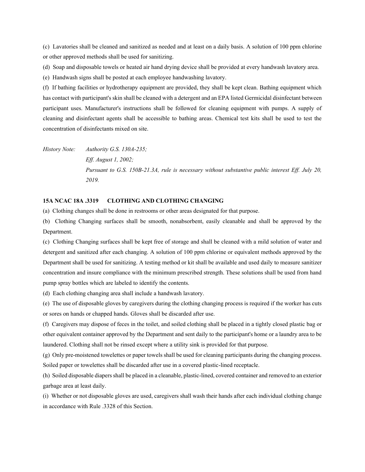(c) Lavatories shall be cleaned and sanitized as needed and at least on a daily basis. A solution of 100 ppm chlorine or other approved methods shall be used for sanitizing.

(d) Soap and disposable towels or heated air hand drying device shall be provided at every handwash lavatory area.

(e) Handwash signs shall be posted at each employee handwashing lavatory.

(f) If bathing facilities or hydrotherapy equipment are provided, they shall be kept clean. Bathing equipment which has contact with participant's skin shall be cleaned with a detergent and an EPA listed Germicidal disinfectant between participant uses. Manufacturer's instructions shall be followed for cleaning equipment with pumps. A supply of cleaning and disinfectant agents shall be accessible to bathing areas. Chemical test kits shall be used to test the concentration of disinfectants mixed on site.

*History Note: Authority G.S. 130A-235; Eff. August 1, 2002; Pursuant to G.S. 150B-21.3A, rule is necessary without substantive public interest Eff. July 20, 2019.*

## **15A NCAC 18A .3319 CLOTHING AND CLOTHING CHANGING**

(a) Clothing changes shall be done in restrooms or other areas designated for that purpose.

(b) Clothing Changing surfaces shall be smooth, nonabsorbent, easily cleanable and shall be approved by the Department.

(c) Clothing Changing surfaces shall be kept free of storage and shall be cleaned with a mild solution of water and detergent and sanitized after each changing. A solution of 100 ppm chlorine or equivalent methods approved by the Department shall be used for sanitizing. A testing method or kit shall be available and used daily to measure sanitizer concentration and insure compliance with the minimum prescribed strength. These solutions shall be used from hand pump spray bottles which are labeled to identify the contents.

(d) Each clothing changing area shall include a handwash lavatory.

(e) The use of disposable gloves by caregivers during the clothing changing process is required if the worker has cuts or sores on hands or chapped hands. Gloves shall be discarded after use.

(f) Caregivers may dispose of feces in the toilet, and soiled clothing shall be placed in a tightly closed plastic bag or other equivalent container approved by the Department and sent daily to the participant's home or a laundry area to be laundered. Clothing shall not be rinsed except where a utility sink is provided for that purpose.

(g) Only pre-moistened towelettes or paper towels shall be used for cleaning participants during the changing process. Soiled paper or towelettes shall be discarded after use in a covered plastic-lined receptacle.

(h) Soiled disposable diapers shall be placed in a cleanable, plastic-lined, covered container and removed to an exterior garbage area at least daily.

(i) Whether or not disposable gloves are used, caregivers shall wash their hands after each individual clothing change in accordance with Rule .3328 of this Section.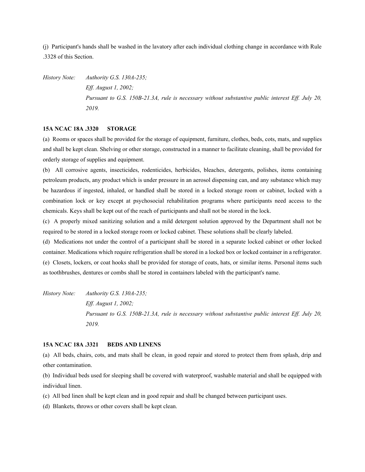(j) Participant's hands shall be washed in the lavatory after each individual clothing change in accordance with Rule .3328 of this Section.

*History Note: Authority G.S. 130A-235; Eff. August 1, 2002; Pursuant to G.S. 150B-21.3A, rule is necessary without substantive public interest Eff. July 20, 2019.*

#### **15A NCAC 18A .3320 STORAGE**

(a) Rooms or spaces shall be provided for the storage of equipment, furniture, clothes, beds, cots, mats, and supplies and shall be kept clean. Shelving or other storage, constructed in a manner to facilitate cleaning, shall be provided for orderly storage of supplies and equipment.

(b) All corrosive agents, insecticides, rodenticides, herbicides, bleaches, detergents, polishes, items containing petroleum products, any product which is under pressure in an aerosol dispensing can, and any substance which may be hazardous if ingested, inhaled, or handled shall be stored in a locked storage room or cabinet, locked with a combination lock or key except at psychosocial rehabilitation programs where participants need access to the chemicals. Keys shall be kept out of the reach of participants and shall not be stored in the lock.

(c) A properly mixed sanitizing solution and a mild detergent solution approved by the Department shall not be required to be stored in a locked storage room or locked cabinet. These solutions shall be clearly labeled.

(d) Medications not under the control of a participant shall be stored in a separate locked cabinet or other locked container. Medications which require refrigeration shall be stored in a locked box or locked container in a refrigerator. (e) Closets, lockers, or coat hooks shall be provided for storage of coats, hats, or similar items. Personal items such as toothbrushes, dentures or combs shall be stored in containers labeled with the participant's name.

*History Note: Authority G.S. 130A-235; Eff. August 1, 2002; Pursuant to G.S. 150B-21.3A, rule is necessary without substantive public interest Eff. July 20, 2019.*

#### **15A NCAC 18A .3321 BEDS AND LINENS**

(a) All beds, chairs, cots, and mats shall be clean, in good repair and stored to protect them from splash, drip and other contamination.

(b) Individual beds used for sleeping shall be covered with waterproof, washable material and shall be equipped with individual linen.

(c) All bed linen shall be kept clean and in good repair and shall be changed between participant uses.

(d) Blankets, throws or other covers shall be kept clean.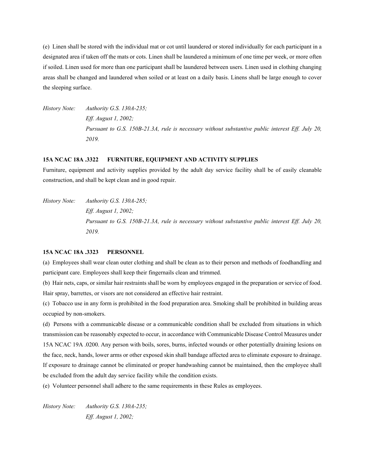(e) Linen shall be stored with the individual mat or cot until laundered or stored individually for each participant in a designated area if taken off the mats or cots. Linen shall be laundered a minimum of one time per week, or more often if soiled. Linen used for more than one participant shall be laundered between users. Linen used in clothing changing areas shall be changed and laundered when soiled or at least on a daily basis. Linens shall be large enough to cover the sleeping surface.

*History Note: Authority G.S. 130A-235; Eff. August 1, 2002; Pursuant to G.S. 150B-21.3A, rule is necessary without substantive public interest Eff. July 20, 2019.*

#### **15A NCAC 18A .3322 FURNITURE, EQUIPMENT AND ACTIVITY SUPPLIES**

Furniture, equipment and activity supplies provided by the adult day service facility shall be of easily cleanable construction, and shall be kept clean and in good repair.

*History Note: Authority G.S. 130A-285; Eff. August 1, 2002; Pursuant to G.S. 150B-21.3A, rule is necessary without substantive public interest Eff. July 20, 2019.*

#### **15A NCAC 18A .3323 PERSONNEL**

(a) Employees shall wear clean outer clothing and shall be clean as to their person and methods of foodhandling and participant care. Employees shall keep their fingernails clean and trimmed.

(b) Hair nets, caps, or similar hair restraints shall be worn by employees engaged in the preparation or service of food. Hair spray, barrettes, or visors are not considered an effective hair restraint.

(c) Tobacco use in any form is prohibited in the food preparation area. Smoking shall be prohibited in building areas occupied by non-smokers.

(d) Persons with a communicable disease or a communicable condition shall be excluded from situations in which transmission can be reasonably expected to occur, in accordance with Communicable Disease Control Measures under 15A NCAC 19A .0200. Any person with boils, sores, burns, infected wounds or other potentially draining lesions on the face, neck, hands, lower arms or other exposed skin shall bandage affected area to eliminate exposure to drainage. If exposure to drainage cannot be eliminated or proper handwashing cannot be maintained, then the employee shall be excluded from the adult day service facility while the condition exists.

(e) Volunteer personnel shall adhere to the same requirements in these Rules as employees.

*History Note: Authority G.S. 130A-235; Eff. August 1, 2002;*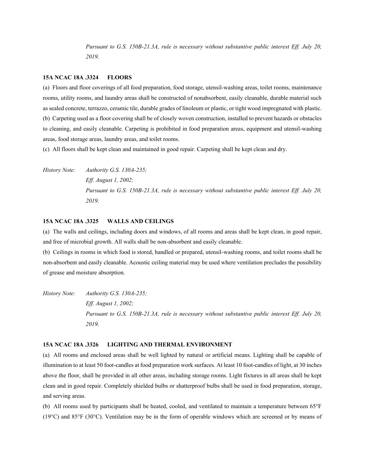*Pursuant to G.S. 150B-21.3A, rule is necessary without substantive public interest Eff. July 20, 2019.*

### **15A NCAC 18A .3324 FLOORS**

(a) Floors and floor coverings of all food preparation, food storage, utensil-washing areas, toilet rooms, maintenance rooms, utility rooms, and laundry areas shall be constructed of nonabsorbent, easily cleanable, durable material such as sealed concrete, terrazzo, ceramic tile, durable grades of linoleum or plastic, or tight wood impregnated with plastic. (b) Carpeting used as a floor covering shall be of closely woven construction, installed to prevent hazards or obstacles to cleaning, and easily cleanable. Carpeting is prohibited in food preparation areas, equipment and utensil-washing areas, food storage areas, laundry areas, and toilet rooms.

(c) All floors shall be kept clean and maintained in good repair. Carpeting shall be kept clean and dry.

*History Note: Authority G.S. 130A-235; Eff. August 1, 2002; Pursuant to G.S. 150B-21.3A, rule is necessary without substantive public interest Eff. July 20, 2019.*

## **15A NCAC 18A .3325 WALLS AND CEILINGS**

(a) The walls and ceilings, including doors and windows, of all rooms and areas shall be kept clean, in good repair, and free of microbial growth. All walls shall be non-absorbent and easily cleanable.

(b) Ceilings in rooms in which food is stored, handled or prepared, utensil-washing rooms, and toilet rooms shall be non-absorbent and easily cleanable. Acoustic ceiling material may be used where ventilation precludes the possibility of grease and moisture absorption.

*History Note: Authority G.S. 130A-235; Eff. August 1, 2002; Pursuant to G.S. 150B-21.3A, rule is necessary without substantive public interest Eff. July 20, 2019.*

## **15A NCAC 18A .3326 LIGHTING AND THERMAL ENVIRONMENT**

(a) All rooms and enclosed areas shall be well lighted by natural or artificial means. Lighting shall be capable of illumination to at least 50 foot-candles at food preparation work surfaces. At least 10 foot-candles of light, at 30 inches above the floor, shall be provided in all other areas, including storage rooms. Light fixtures in all areas shall be kept clean and in good repair. Completely shielded bulbs or shatterproof bulbs shall be used in food preparation, storage, and serving areas.

(b) All rooms used by participants shall be heated, cooled, and ventilated to maintain a temperature between 65°F (19°C) and 85°F (30°C). Ventilation may be in the form of operable windows which are screened or by means of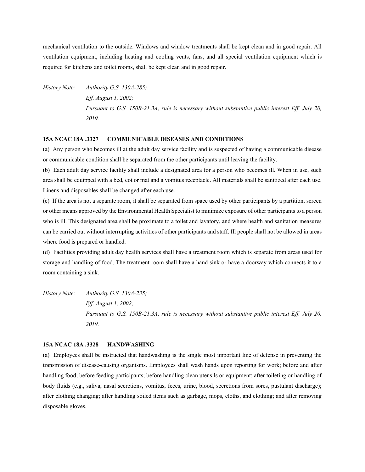mechanical ventilation to the outside. Windows and window treatments shall be kept clean and in good repair. All ventilation equipment, including heating and cooling vents, fans, and all special ventilation equipment which is required for kitchens and toilet rooms, shall be kept clean and in good repair.

*History Note: Authority G.S. 130A-285; Eff. August 1, 2002; Pursuant to G.S. 150B-21.3A, rule is necessary without substantive public interest Eff. July 20, 2019.*

## **15A NCAC 18A .3327 COMMUNICABLE DISEASES AND CONDITIONS**

(a) Any person who becomes ill at the adult day service facility and is suspected of having a communicable disease or communicable condition shall be separated from the other participants until leaving the facility.

(b) Each adult day service facility shall include a designated area for a person who becomes ill. When in use, such area shall be equipped with a bed, cot or mat and a vomitus receptacle. All materials shall be sanitized after each use. Linens and disposables shall be changed after each use.

(c) If the area is not a separate room, it shall be separated from space used by other participants by a partition, screen or other means approved by the Environmental Health Specialist to minimize exposure of other participants to a person who is ill. This designated area shall be proximate to a toilet and lavatory, and where health and sanitation measures can be carried out without interrupting activities of other participants and staff. Ill people shall not be allowed in areas where food is prepared or handled.

(d) Facilities providing adult day health services shall have a treatment room which is separate from areas used for storage and handling of food. The treatment room shall have a hand sink or have a doorway which connects it to a room containing a sink.

*History Note: Authority G.S. 130A-235; Eff. August 1, 2002; Pursuant to G.S. 150B-21.3A, rule is necessary without substantive public interest Eff. July 20, 2019.*

## **15A NCAC 18A .3328 HANDWASHING**

(a) Employees shall be instructed that handwashing is the single most important line of defense in preventing the transmission of disease-causing organisms. Employees shall wash hands upon reporting for work; before and after handling food; before feeding participants; before handling clean utensils or equipment; after toileting or handling of body fluids (e.g., saliva, nasal secretions, vomitus, feces, urine, blood, secretions from sores, pustulant discharge); after clothing changing; after handling soiled items such as garbage, mops, cloths, and clothing; and after removing disposable gloves.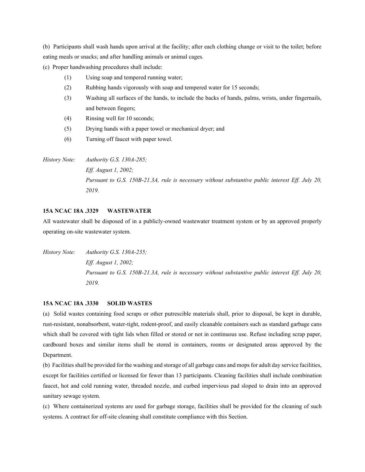(b) Participants shall wash hands upon arrival at the facility; after each clothing change or visit to the toilet; before eating meals or snacks; and after handling animals or animal cages.

(c) Proper handwashing procedures shall include:

- (1) Using soap and tempered running water;
- (2) Rubbing hands vigorously with soap and tempered water for 15 seconds;
- (3) Washing all surfaces of the hands, to include the backs of hands, palms, wrists, under fingernails, and between fingers;
- (4) Rinsing well for 10 seconds;
- (5) Drying hands with a paper towel or mechanical dryer; and
- (6) Turning off faucet with paper towel.

*History Note: Authority G.S. 130A-285; Eff. August 1, 2002; Pursuant to G.S. 150B-21.3A, rule is necessary without substantive public interest Eff. July 20, 2019.*

## **15A NCAC 18A .3329 WASTEWATER**

All wastewater shall be disposed of in a publicly-owned wastewater treatment system or by an approved properly operating on-site wastewater system.

*History Note: Authority G.S. 130A-235; Eff. August 1, 2002; Pursuant to G.S. 150B-21.3A, rule is necessary without substantive public interest Eff. July 20, 2019.*

## **15A NCAC 18A .3330 SOLID WASTES**

(a) Solid wastes containing food scraps or other putrescible materials shall, prior to disposal, be kept in durable, rust-resistant, nonabsorbent, water-tight, rodent-proof, and easily cleanable containers such as standard garbage cans which shall be covered with tight lids when filled or stored or not in continuous use. Refuse including scrap paper, cardboard boxes and similar items shall be stored in containers, rooms or designated areas approved by the Department.

(b) Facilities shall be provided for the washing and storage of all garbage cans and mops for adult day service facilities, except for facilities certified or licensed for fewer than 13 participants. Cleaning facilities shall include combination faucet, hot and cold running water, threaded nozzle, and curbed impervious pad sloped to drain into an approved sanitary sewage system.

(c) Where containerized systems are used for garbage storage, facilities shall be provided for the cleaning of such systems. A contract for off-site cleaning shall constitute compliance with this Section.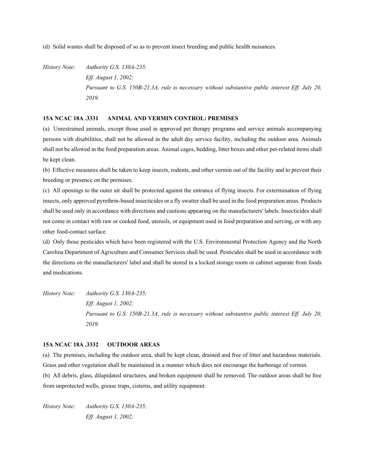(d) Solid wastes shall be disposed of so as to prevent insect breeding and public health nuisances.

*History Note: Authority G.S. 130A-235; Eff. August 1, 2002; Pursuant to G.S. 150B-21.3A, rule is necessary without substantive public interest Eff. July 20, 2019.*

## **15A NCAC 18A .3331 ANIMAL AND VERMIN CONTROL: PREMISES**

(a) Unrestrained animals, except those used in approved pet therapy programs and service animals accompanying persons with disabilities, shall not be allowed in the adult day service facility, including the outdoor area. Animals shall not be allowed in the food preparation areas. Animal cages, bedding, litter boxes and other pet-related items shall be kept clean.

(b) Effective measures shall be taken to keep insects, rodents, and other vermin out of the facility and to prevent their breeding or presence on the premises.

(c) All openings to the outer air shall be protected against the entrance of flying insects. For extermination of flying insects, only approved pyrethrin-based insecticides or a fly swatter shall be used in the food preparation areas. Products shall be used only in accordance with directions and cautions appearing on the manufacturers' labels. Insecticides shall not come in contact with raw or cooked food, utensils, or equipment used in food preparation and serving, or with any other food-contact surface.

(d) Only those pesticides which have been registered with the U.S. Environmental Protection Agency and the North Carolina Department of Agriculture and Consumer Services shall be used. Pesticides shall be used in accordance with the directions on the manufacturers' label and shall be stored in a locked storage room or cabinet separate from foods and medications.

*History Note: Authority G.S. 130A-235; Eff. August 1, 2002; Pursuant to G.S. 150B-21.3A, rule is necessary without substantive public interest Eff. July 20, 2019.*

# **15A NCAC 18A .3332 OUTDOOR AREAS**

(a) The premises, including the outdoor area, shall be kept clean, drained and free of litter and hazardous materials. Grass and other vegetation shall be maintained in a manner which does not encourage the harborage of vermin. (b) All debris, glass, dilapidated structures, and broken equipment shall be removed. The outdoor areas shall be free from unprotected wells, grease traps, cisterns, and utility equipment.

*History Note: Authority G.S. 130A-235; Eff. August 1, 2002;*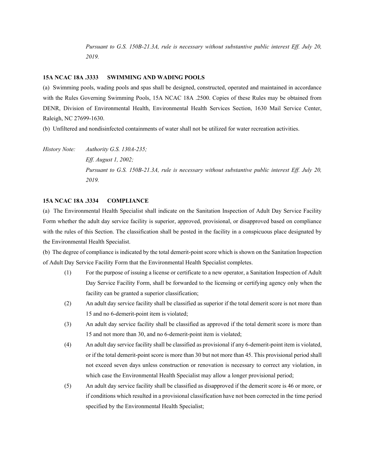*Pursuant to G.S. 150B-21.3A, rule is necessary without substantive public interest Eff. July 20, 2019.*

### **15A NCAC 18A .3333 SWIMMING AND WADING POOLS**

(a) Swimming pools, wading pools and spas shall be designed, constructed, operated and maintained in accordance with the Rules Governing Swimming Pools, 15A NCAC 18A .2500. Copies of these Rules may be obtained from DENR, Division of Environmental Health, Environmental Health Services Section, 1630 Mail Service Center, Raleigh, NC 27699-1630.

(b) Unfiltered and nondisinfected containments of water shall not be utilized for water recreation activities.

*History Note: Authority G.S. 130A-235; Eff. August 1, 2002; Pursuant to G.S. 150B-21.3A, rule is necessary without substantive public interest Eff. July 20, 2019.*

## **15A NCAC 18A .3334 COMPLIANCE**

(a) The Environmental Health Specialist shall indicate on the Sanitation Inspection of Adult Day Service Facility Form whether the adult day service facility is superior, approved, provisional, or disapproved based on compliance with the rules of this Section. The classification shall be posted in the facility in a conspicuous place designated by the Environmental Health Specialist.

(b) The degree of compliance is indicated by the total demerit-point score which is shown on the Sanitation Inspection of Adult Day Service Facility Form that the Environmental Health Specialist completes.

- (1) For the purpose of issuing a license or certificate to a new operator, a Sanitation Inspection of Adult Day Service Facility Form, shall be forwarded to the licensing or certifying agency only when the facility can be granted a superior classification;
- (2) An adult day service facility shall be classified as superior if the total demerit score is not more than 15 and no 6-demerit-point item is violated;
- (3) An adult day service facility shall be classified as approved if the total demerit score is more than 15 and not more than 30, and no 6-demerit-point item is violated;
- (4) An adult day service facility shall be classified as provisional if any 6-demerit-point item is violated, or if the total demerit-point score is more than 30 but not more than 45. This provisional period shall not exceed seven days unless construction or renovation is necessary to correct any violation, in which case the Environmental Health Specialist may allow a longer provisional period;
- (5) An adult day service facility shall be classified as disapproved if the demerit score is 46 or more, or if conditions which resulted in a provisional classification have not been corrected in the time period specified by the Environmental Health Specialist;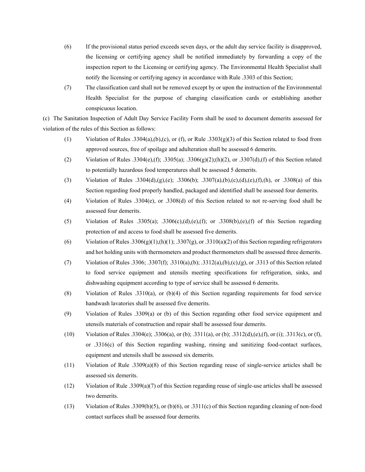- (6) If the provisional status period exceeds seven days, or the adult day service facility is disapproved, the licensing or certifying agency shall be notified immediately by forwarding a copy of the inspection report to the Licensing or certifying agency. The Environmental Health Specialist shall notify the licensing or certifying agency in accordance with Rule .3303 of this Section;
- (7) The classification card shall not be removed except by or upon the instruction of the Environmental Health Specialist for the purpose of changing classification cards or establishing another conspicuous location.

(c) The Sanitation Inspection of Adult Day Service Facility Form shall be used to document demerits assessed for violation of the rules of this Section as follows:

- (1) Violation of Rules .3304(a),(b),(c), or (f), or Rule .3303(g)(3) of this Section related to food from approved sources, free of spoilage and adulteration shall be assessed 6 demerits.
- (2) Violation of Rules .3304(e),(f); .3305(a); .3306(g)(2);(h)(2), or .3307(d),(f) of this Section related to potentially hazardous food temperatures shall be assessed 5 demerits.
- (3) Violation of Rules .3304(d),(g),(e); .3306(b); .3307(a),(b),(c),(d),(e),(f),(h), or .3308(a) of this Section regarding food properly handled, packaged and identified shall be assessed four demerits.
- (4) Violation of Rules .3304(e), or .3308(d) of this Section related to not re-serving food shall be assessed four demerits.
- (5) Violation of Rules .3305(a); .3306(c),(d),(e),(f); or .3308(b),(e),(f) of this Section regarding protection of and access to food shall be assessed five demerits.
- (6) Violation of Rules .3306(g)(1),(h)(1); .3307(g), or .3310(a)(2) of this Section regarding refrigerators and hot holding units with thermometers and product thermometers shall be assessed three demerits.
- (7) Violation of Rules .3306; .3307(f); .3310(a),(b); .3312(a),(b),(c),(g), or .3313 of this Section related to food service equipment and utensils meeting specifications for refrigeration, sinks, and dishwashing equipment according to type of service shall be assessed 6 demerits.
- (8) Violation of Rules .3310(a), or (b)(4) of this Section regarding requirements for food service handwash lavatories shall be assessed five demerits.
- (9) Violation of Rules .3309(a) or (b) of this Section regarding other food service equipment and utensils materials of construction and repair shall be assessed four demerits.
- (10) Violation of Rules .3304(e); .3306(a), or (b); .3311(a), or (b); .3312(d),(e),(f), or (i); .3313(c), or (f), or .3316(c) of this Section regarding washing, rinsing and sanitizing food-contact surfaces, equipment and utensils shall be assessed six demerits.
- (11) Violation of Rule .3309(a)(8) of this Section regarding reuse of single-service articles shall be assessed six demerits.
- (12) Violation of Rule .3309(a)(7) of this Section regarding reuse of single-use articles shall be assessed two demerits.
- (13) Violation of Rules .3309(b)(5), or (b)(6), or .3311(c) of this Section regarding cleaning of non-food contact surfaces shall be assessed four demerits.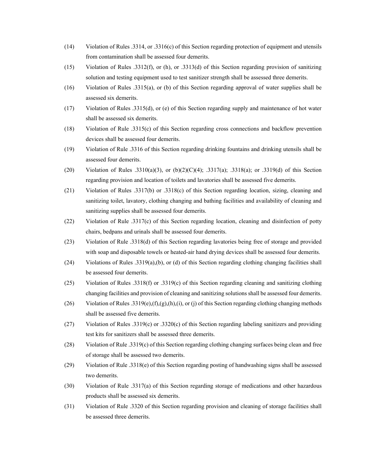- (14) Violation of Rules .3314, or .3316(c) of this Section regarding protection of equipment and utensils from contamination shall be assessed four demerits.
- (15) Violation of Rules .3312(f), or (h), or .3313(d) of this Section regarding provision of sanitizing solution and testing equipment used to test sanitizer strength shall be assessed three demerits.
- (16) Violation of Rules .3315(a), or (b) of this Section regarding approval of water supplies shall be assessed six demerits.
- (17) Violation of Rules .3315(d), or (e) of this Section regarding supply and maintenance of hot water shall be assessed six demerits.
- (18) Violation of Rule .3315(c) of this Section regarding cross connections and backflow prevention devices shall be assessed four demerits.
- (19) Violation of Rule .3316 of this Section regarding drinking fountains and drinking utensils shall be assessed four demerits.
- (20) Violation of Rules .3310(a)(3), or (b)(2)(C)(4); .3317(a); .3318(a); or .3319(d) of this Section regarding provision and location of toilets and lavatories shall be assessed five demerits.
- (21) Violation of Rules .3317(b) or .3318(c) of this Section regarding location, sizing, cleaning and sanitizing toilet, lavatory, clothing changing and bathing facilities and availability of cleaning and sanitizing supplies shall be assessed four demerits.
- (22) Violation of Rule .3317(c) of this Section regarding location, cleaning and disinfection of potty chairs, bedpans and urinals shall be assessed four demerits.
- (23) Violation of Rule .3318(d) of this Section regarding lavatories being free of storage and provided with soap and disposable towels or heated-air hand drying devices shall be assessed four demerits.
- (24) Violations of Rules .3319(a),(b), or (d) of this Section regarding clothing changing facilities shall be assessed four demerits.
- (25) Violation of Rules .3318(f) or .3319(c) of this Section regarding cleaning and sanitizing clothing changing facilities and provision of cleaning and sanitizing solutions shall be assessed four demerits.
- (26) Violation of Rules .3319(e),(f),(g),(h),(i), or (j) of this Section regarding clothing changing methods shall be assessed five demerits.
- (27) Violation of Rules .3319(c) or .3320(c) of this Section regarding labeling sanitizers and providing test kits for sanitizers shall be assessed three demerits.
- (28) Violation of Rule .3319(c) of this Section regarding clothing changing surfaces being clean and free of storage shall be assessed two demerits.
- (29) Violation of Rule .3318(e) of this Section regarding posting of handwashing signs shall be assessed two demerits.
- (30) Violation of Rule .3317(a) of this Section regarding storage of medications and other hazardous products shall be assessed six demerits.
- (31) Violation of Rule .3320 of this Section regarding provision and cleaning of storage facilities shall be assessed three demerits.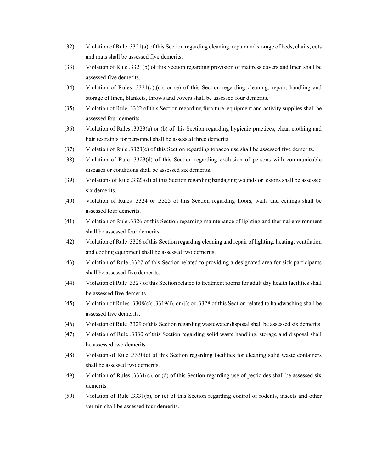- (32) Violation of Rule .3321(a) of this Section regarding cleaning, repair and storage of beds, chairs, cots and mats shall be assessed five demerits.
- (33) Violation of Rule .3321(b) of this Section regarding provision of mattress covers and linen shall be assessed five demerits.
- (34) Violation of Rules .3321(c),(d), or (e) of this Section regarding cleaning, repair, handling and storage of linen, blankets, throws and covers shall be assessed four demerits.
- (35) Violation of Rule .3322 of this Section regarding furniture, equipment and activity supplies shall be assessed four demerits.
- (36) Violation of Rules .3323(a) or (b) of this Section regarding hygienic practices, clean clothing and hair restraints for personnel shall be assessed three demerits.
- (37) Violation of Rule .3323(c) of this Section regarding tobacco use shall be assessed five demerits.
- (38) Violation of Rule .3323(d) of this Section regarding exclusion of persons with communicable diseases or conditions shall be assessed six demerits.
- (39) Violations of Rule .3323(d) of this Section regarding bandaging wounds or lesions shall be assessed six demerits.
- (40) Violation of Rules .3324 or .3325 of this Section regarding floors, walls and ceilings shall be assessed four demerits.
- (41) Violation of Rule .3326 of this Section regarding maintenance of lighting and thermal environment shall be assessed four demerits.
- (42) Violation of Rule .3326 of this Section regarding cleaning and repair of lighting, heating, ventilation and cooling equipment shall be assessed two demerits.
- (43) Violation of Rule .3327 of this Section related to providing a designated area for sick participants shall be assessed five demerits.
- (44) Violation of Rule .3327 of this Section related to treatment rooms for adult day health facilities shall be assessed five demerits.
- (45) Violation of Rules .3308(c); .3319(i), or (j); or .3328 of this Section related to handwashing shall be assessed five demerits.
- (46) Violation of Rule .3329 of this Section regarding wastewater disposal shall be assessed six demerits.
- (47) Violation of Rule .3330 of this Section regarding solid waste handling, storage and disposal shall be assessed two demerits.
- (48) Violation of Rule .3330(c) of this Section regarding facilities for cleaning solid waste containers shall be assessed two demerits.
- (49) Violation of Rules .3331(c), or (d) of this Section regarding use of pesticides shall be assessed six demerits.
- (50) Violation of Rule .3331(b), or (c) of this Section regarding control of rodents, insects and other vermin shall be assessed four demerits.